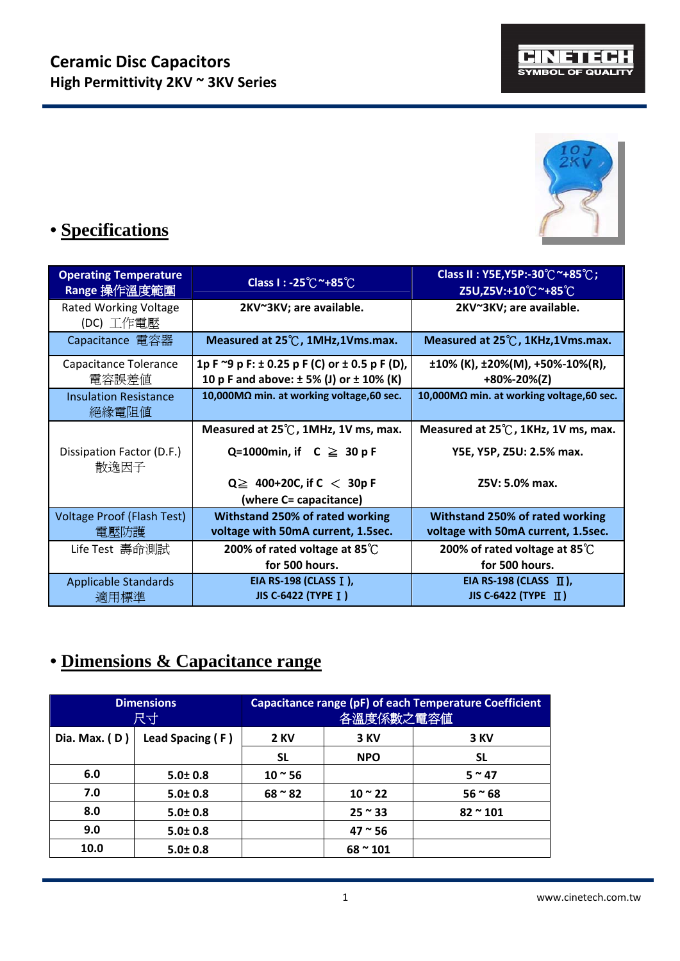



# **• Specifications**

| <b>Operating Temperature</b><br>Range 操作溫度範圍 | Class I: -25℃~+85℃                                                                                        | Class II : Y5E, Y5P:-30℃~+85℃;<br>Z5U,Z5V:+10℃ <sup>~</sup> +85℃      |  |
|----------------------------------------------|-----------------------------------------------------------------------------------------------------------|-----------------------------------------------------------------------|--|
| <b>Rated Working Voltage</b><br>(DC) 工作電壓    | 2KV~3KV; are available.                                                                                   | 2KV~3KV; are available.                                               |  |
| Capacitance 電容器                              | Measured at 25°C, 1MHz, 1Vms.max.                                                                         | Measured at 25°C, 1KHz, 1Vms.max.                                     |  |
| Capacitance Tolerance<br>電容誤差値               | 1p F $\approx$ 9 p F: $\pm$ 0.25 p F (C) or $\pm$ 0.5 p F (D),<br>10 p F and above: ± 5% (J) or ± 10% (K) | $\pm 10\%$ (K), $\pm 20\%$ (M), $\pm 50\%$ -10%(R),<br>+80%-20%(Z)    |  |
| <b>Insulation Resistance</b><br>絕緣電阻値        | 10,000MΩ min. at working voltage, 60 sec.                                                                 | 10,000MΩ min. at working voltage, 60 sec.                             |  |
|                                              | Measured at 25℃, 1MHz, 1V ms, max.                                                                        | Measured at 25°C, 1KHz, 1V ms, max.                                   |  |
| Dissipation Factor (D.F.)<br>散逸因子            | Q=1000min, if $C \geq 30 pF$                                                                              | Y5E, Y5P, Z5U: 2.5% max.                                              |  |
|                                              | $Q \geq 400+20C$ , if $C < 30p$ F<br>(where C= capacitance)                                               | Z5V: 5.0% max.                                                        |  |
| <b>Voltage Proof (Flash Test)</b><br>電壓防護    | Withstand 250% of rated working<br>voltage with 50mA current, 1.5sec.                                     | Withstand 250% of rated working<br>voltage with 50mA current, 1.5sec. |  |
| Life Test 壽命測試                               | 200% of rated voltage at 85 $\degree$ C                                                                   | 200% of rated voltage at 85 $\degree$ C                               |  |
|                                              | for 500 hours.                                                                                            | for 500 hours.                                                        |  |
| <b>Applicable Standards</b>                  | EIA RS-198 (CLASS I),                                                                                     | EIA RS-198 (CLASS $\Pi$ ),                                            |  |
| 適用標準                                         | JIS C-6422 (TYPE I)                                                                                       | <b>JIS C-6422 (ТҮРЕ II)</b>                                           |  |

### **• Dimensions & Capacitance range**

|                 | <b>Dimensions</b><br>尺寸 | <b>Capacitance range (pF) of each Temperature Coefficient</b><br>各溫度係數之電容値 |                   |                  |  |
|-----------------|-------------------------|----------------------------------------------------------------------------|-------------------|------------------|--|
| Dia. Max. $(D)$ | Lead Spacing (F)        | <b>2 KV</b>                                                                | 3 KV              | 3 KV             |  |
|                 |                         | <b>SL</b>                                                                  | <b>NPO</b>        | <b>SL</b>        |  |
| 6.0             | $5.0 \pm 0.8$           | $10 - 56$                                                                  |                   | $5~^\sim$ 47     |  |
| 7.0             | $5.0 \pm 0.8$           | $68 \approx 82$                                                            | $10 - 22$         | $56 - 68$        |  |
| 8.0             | $5.0 \pm 0.8$           |                                                                            | $25 \approx 33$   | $82 \approx 101$ |  |
| 9.0             | $5.0 \pm 0.8$           |                                                                            | $47^{\circ}56$    |                  |  |
| 10.0            | $5.0 \pm 0.8$           |                                                                            | $68 \text{~}$ 101 |                  |  |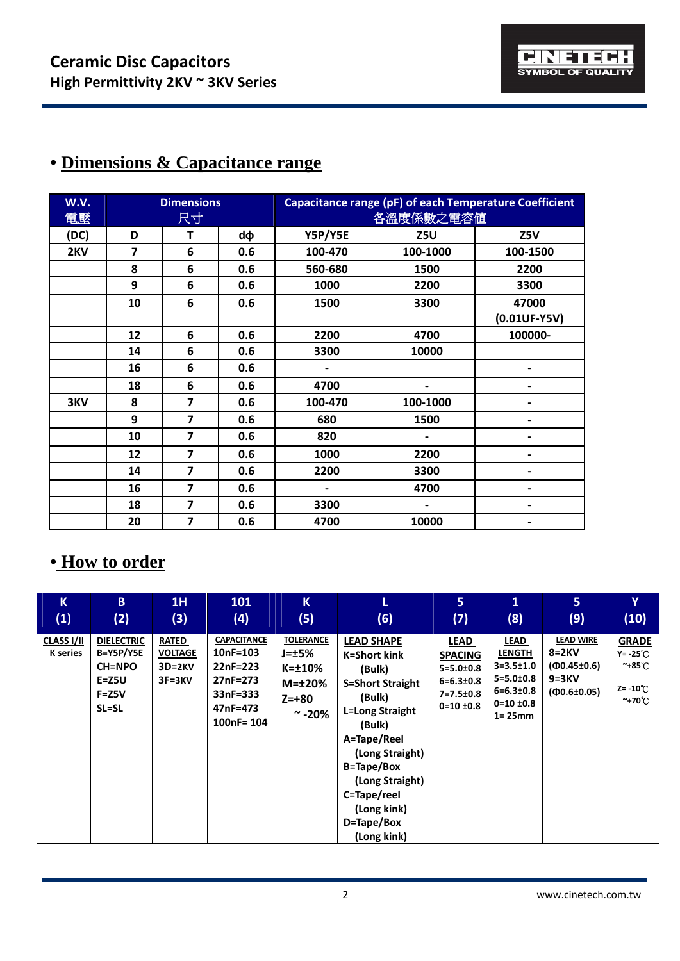| W.V.<br>電壓 | <b>Dimensions</b><br>尺寸 |                         |     | <b>Capacitance range (pF) of each Temperature Coefficient</b><br>各溫度係數之電容値 |          |                |  |
|------------|-------------------------|-------------------------|-----|----------------------------------------------------------------------------|----------|----------------|--|
| (DC)       | D                       | т                       | dф  | Y5P/Y5E                                                                    | Z5U      | Z5V            |  |
| 2KV        | $\overline{7}$          | 6                       | 0.6 | 100-470                                                                    | 100-1000 | 100-1500       |  |
|            | 8                       | 6                       | 0.6 | 560-680                                                                    | 1500     | 2200           |  |
|            | 9                       | 6                       | 0.6 | 1000                                                                       | 2200     | 3300           |  |
|            | 10                      | 6                       | 0.6 | 1500                                                                       | 3300     | 47000          |  |
|            |                         |                         |     |                                                                            |          | $(0.01UF-Y5V)$ |  |
|            | 12                      | 6                       | 0.6 | 2200                                                                       | 4700     | 100000-        |  |
|            | 14                      | 6                       | 0.6 | 3300                                                                       | 10000    |                |  |
|            | 16                      | 6                       | 0.6 |                                                                            |          | -              |  |
|            | 18                      | 6                       | 0.6 | 4700                                                                       |          |                |  |
| 3KV        | 8                       | $\overline{7}$          | 0.6 | 100-470                                                                    | 100-1000 | $\blacksquare$ |  |
|            | 9                       | $\overline{7}$          | 0.6 | 680                                                                        | 1500     | $\blacksquare$ |  |
|            | 10                      | $\overline{\mathbf{z}}$ | 0.6 | 820                                                                        |          | -              |  |
|            | 12                      | $\overline{\mathbf{z}}$ | 0.6 | 1000                                                                       | 2200     |                |  |
|            | 14                      | $\overline{\mathbf{z}}$ | 0.6 | 2200                                                                       | 3300     |                |  |
|            | 16                      | $\overline{7}$          | 0.6 |                                                                            | 4700     |                |  |
|            | 18                      | 7                       | 0.6 | 3300                                                                       |          |                |  |
|            | 20                      | 7                       | 0.6 | 4700                                                                       | 10000    |                |  |

## **• Dimensions & Capacitance range**

#### **• How to order**

| K                             | B.                                                                                 | 1H                                                       | 101                                                                                              | $\mathsf{K}$                                                                                      | (6)                                                                                                                                                                                                                                                | 5                                                                                                      | $\mathbf{1}$                                                                                                          | 5 <sup>1</sup>                                                                     | Y                                                                                  |
|-------------------------------|------------------------------------------------------------------------------------|----------------------------------------------------------|--------------------------------------------------------------------------------------------------|---------------------------------------------------------------------------------------------------|----------------------------------------------------------------------------------------------------------------------------------------------------------------------------------------------------------------------------------------------------|--------------------------------------------------------------------------------------------------------|-----------------------------------------------------------------------------------------------------------------------|------------------------------------------------------------------------------------|------------------------------------------------------------------------------------|
| (1)                           | (2)                                                                                | (3)                                                      | (4)                                                                                              | (5)                                                                                               |                                                                                                                                                                                                                                                    | (7)                                                                                                    | (8)                                                                                                                   | (9)                                                                                | (10)                                                                               |
| CLASS I/II<br><b>K</b> series | <b>DIELECTRIC</b><br>B=Y5P/Y5E<br><b>CH=NPO</b><br>$E = Z5U$<br>$F = Z5V$<br>SL=SL | <b>RATED</b><br><b>VOLTAGE</b><br>$3D=2KV$<br>$3F = 3KV$ | <b>CAPACITANCE</b><br>$10nF = 103$<br>22nF=223<br>27nF=273<br>33nF=333<br>47nF=473<br>100nF= 104 | <b>TOLERANCE</b><br>$J = \pm 5\%$<br>$K = \pm 10\%$<br>$M = \pm 20\%$<br>$Z = +80$<br>$\sim$ -20% | <b>LEAD SHAPE</b><br><b>K=Short kink</b><br>(Bulk)<br><b>S=Short Straight</b><br>(Bulk)<br>L=Long Straight<br>(Bulk)<br>A=Tape/Reel<br>(Long Straight)<br>B=Tape/Box<br>(Long Straight)<br>C=Tape/reel<br>(Long kink)<br>D=Tape/Box<br>(Long kink) | <b>LEAD</b><br><b>SPACING</b><br>$5 = 5.0 \pm 0.8$<br>$6 = 6.3 \pm 0.8$<br>7=7.5±0.8<br>$0=10 \pm 0.8$ | LEAD<br><b>LENGTH</b><br>$3 = 3.5 \pm 1.0$<br>$5 = 5.0 \pm 0.8$<br>$6 = 6.3 \pm 0.8$<br>$0=10 \pm 0.8$<br>$1 = 25$ mm | <b>LEAD WIRE</b><br>$8=2KV$<br>$(40.45 \pm 0.6)$<br>$9 = 3KV$<br>$(40.6 \pm 0.05)$ | <b>GRADE</b><br>Y= -25℃<br>~+85℃<br>$Z = -10^{\circ}$ C<br>$~\tilde{}$ +70 $\rm C$ |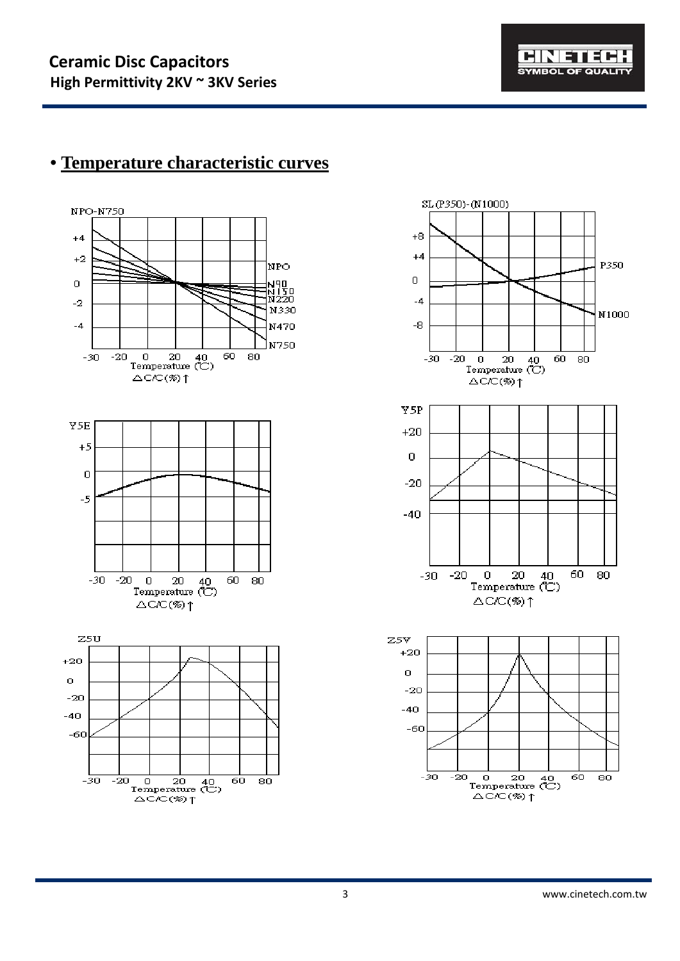

## **• Temperature characteristic curves**



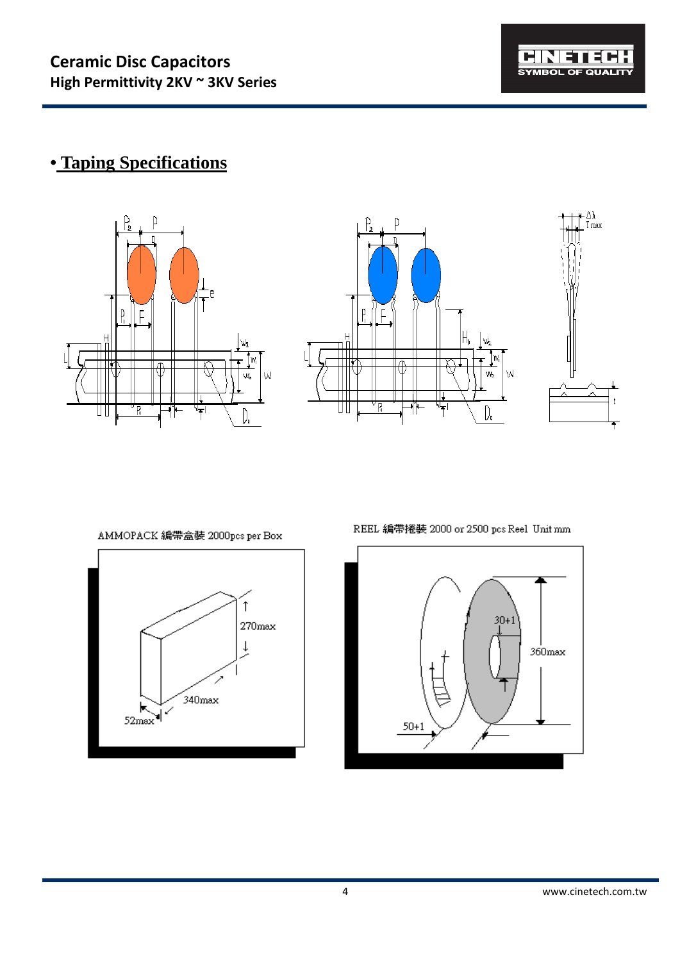

## **• Taping Specifications**







AMMOPACK 編帶盒裝 2000pcs per Box



REEL 編帶捲裝 2000 or 2500 pcs Reel Unit mm